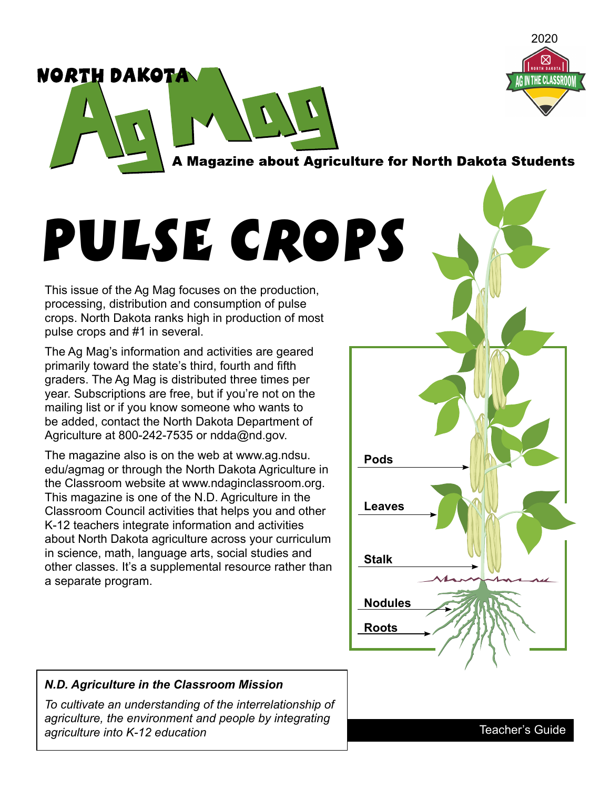

A Magazine about Agriculture for North Dakota Students

# Pulse Crops

This issue of the Ag Mag focuses on the production, processing, distribution and consumption of pulse crops. North Dakota ranks high in production of most pulse crops and #1 in several.

NORTH DAKOTA

The Ag Mag's information and activities are geared primarily toward the state's third, fourth and fifth graders. The Ag Mag is distributed three times per year. Subscriptions are free, but if you're not on the mailing list or if you know someone who wants to be added, contact the North Dakota Department of Agriculture at 800-242-7535 or [ndda@nd.gov.](mailto:ndda@nd.gov)

[The magazine also is on the web at www.ag.ndsu.](http://www.ag.ndsu.edu/agmag) edu/agmag or through the North Dakota Agriculture in the Classroom website a[t www.ndaginclassroom.org.](http://www.ndaginclassroom.org)  This magazine is one of the N.D. Agriculture in the Classroom Council activities that helps you and other K-12 teachers integrate information and activities about North Dakota agriculture across your curriculum in science, math, language arts, social studies and other classes. It's a supplemental resource rather than a separate program.



## *N.D. Agriculture in the Classroom Mission*

*To cultivate an understanding of the interrelationship of agriculture, the environment and people by integrating agriculture into K-12 education*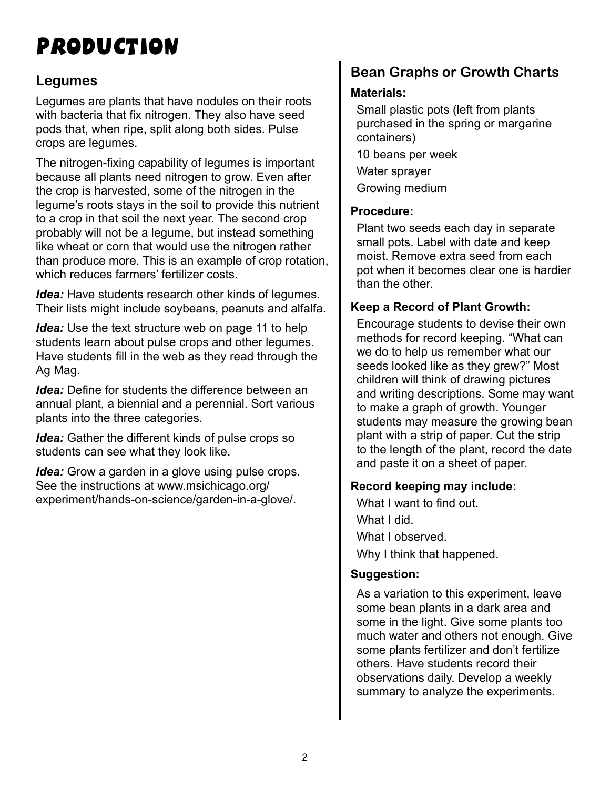# Production

# **Legumes**

Legumes are plants that have nodules on their roots with bacteria that fix nitrogen. They also have seed pods that, when ripe, split along both sides. Pulse crops are legumes.

The nitrogen-fixing capability of legumes is important because all plants need nitrogen to grow. Even after the crop is harvested, some of the nitrogen in the legume's roots stays in the soil to provide this nutrient to a crop in that soil the next year. The second crop probably will not be a legume, but instead something like wheat or corn that would use the nitrogen rather than produce more. This is an example of crop rotation, which reduces farmers' fertilizer costs.

*Idea:* Have students research other kinds of legumes. Their lists might include soybeans, peanuts and alfalfa.

*Idea:* Use the text structure web on page 11 to help students learn about pulse crops and other legumes. Have students fill in the web as they read through the Ag Mag.

*Idea:* Define for students the difference between an annual plant, a biennial and a perennial. Sort various plants into the three categories.

*Idea:* Gather the different kinds of pulse crops so students can see what they look like.

*Idea:* Grow a garden in a glove using pulse crops. See the instructions at www.msichicago.org/ [experiment/hands-on-science/garden-in-a-glove/.](http://www.msichicago.org/experiment/hands-on-science/garden in a glove)

# **Bean Graphs or Growth Charts**

# **Materials:**

Small plastic pots (left from plants purchased in the spring or margarine containers)

10 beans per week

Water sprayer

Growing medium

## **Procedure:**

Plant two seeds each day in separate small pots. Label with date and keep moist. Remove extra seed from each pot when it becomes clear one is hardier than the other.

# **Keep a Record of Plant Growth:**

Encourage students to devise their own methods for record keeping. "What can we do to help us remember what our seeds looked like as they grew?" Most children will think of drawing pictures and writing descriptions. Some may want to make a graph of growth. Younger students may measure the growing bean plant with a strip of paper. Cut the strip to the length of the plant, record the date and paste it on a sheet of paper.

## **Record keeping may include:**

What I want to find out. What I did. What I observed. Why I think that happened.

## **Suggestion:**

As a variation to this experiment, leave some bean plants in a dark area and some in the light. Give some plants too much water and others not enough. Give some plants fertilizer and don't fertilize others. Have students record their observations daily. Develop a weekly summary to analyze the experiments.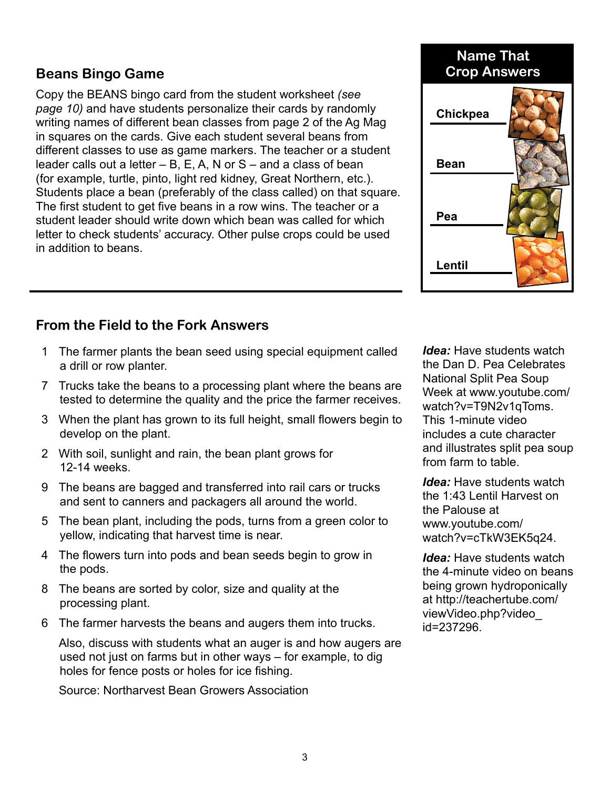# **Beans Bingo Game Crop Answers**

Copy the BEANS bingo card from the student worksheet *(see page 10)* and have students personalize their cards by randomly writing names of different bean classes from page 2 of the Ag Mag in squares on the cards. Give each student several beans from different classes to use as game markers. The teacher or a student leader calls out a letter  $- B$ , E, A, N or S  $-$  and a class of bean (for example, turtle, pinto, light red kidney, Great Northern, etc.). Students place a bean (preferably of the class called) on that square. The first student to get five beans in a row wins. The teacher or a student leader should write down which bean was called for which letter to check students' accuracy. Other pulse crops could be used in addition to beans.

# **From the Field to the Fork Answers**

- 1 The farmer plants the bean seed using special equipment called a drill or row planter.
- 7 Trucks take the beans to a processing plant where the beans are tested to determine the quality and the price the farmer receives.
- 3 When the plant has grown to its full height, small flowers begin to develop on the plant.
- 2 With soil, sunlight and rain, the bean plant grows for 12-14 weeks.
- 9 The beans are bagged and transferred into rail cars or trucks and sent to canners and packagers all around the world.
- 5 The bean plant, including the pods, turns from a green color to yellow, indicating that harvest time is near.
- 4 The flowers turn into pods and bean seeds begin to grow in the pods.
- 8 The beans are sorted by color, size and quality at the processing plant.
- 6 The farmer harvests the beans and augers them into trucks.

 Also, discuss with students what an auger is and how augers are used not just on farms but in other ways – for example, to dig holes for fence posts or holes for ice fishing.

Source: Northarvest Bean Growers Association

*Idea:* Have students watch the Dan D. Pea Celebrates National Split Pea Soup [Week at www.youtube.com/](http://www.youtube.com/watch?v=T9N2v1qToms) watch?v=T9N2v1qToms. This 1-minute video includes a cute character and illustrates split pea soup from farm to table.

*Idea:* Have students watch the 1:43 Lentil Harvest on the Palouse at www.youtube.com/ [watch?v=cTkW3EK5q24.](http://www.youtube.com/watch?v=cTkW3EK5q24)

*Idea:* Have students watch the 4-minute video on beans being grown hydroponically [at http://teachertube.com/](http://teachertube.com/viewVideo.php?video_id=237296) viewVideo.php?video\_ id=237296.



**Bean**

**Pea**

**Lentil**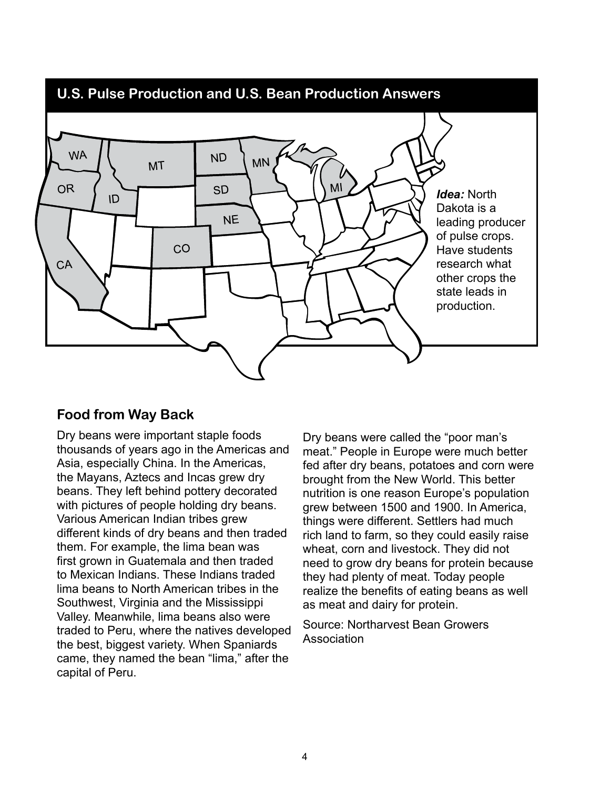

# **Food from Way Back**

Dry beans were important staple foods thousands of years ago in the Americas and Asia, especially China. In the Americas, the Mayans, Aztecs and Incas grew dry beans. They left behind pottery decorated with pictures of people holding dry beans. Various American Indian tribes grew different kinds of dry beans and then traded them. For example, the lima bean was first grown in Guatemala and then traded to Mexican Indians. These Indians traded lima beans to North American tribes in the Southwest, Virginia and the Mississippi Valley. Meanwhile, lima beans also were traded to Peru, where the natives developed the best, biggest variety. When Spaniards came, they named the bean "lima," after the capital of Peru.

Dry beans were called the "poor man's meat." People in Europe were much better fed after dry beans, potatoes and corn were brought from the New World. This better nutrition is one reason Europe's population grew between 1500 and 1900. In America, things were different. Settlers had much rich land to farm, so they could easily raise wheat, corn and livestock. They did not need to grow dry beans for protein because they had plenty of meat. Today people realize the benefits of eating beans as well as meat and dairy for protein.

Source: Northarvest Bean Growers Association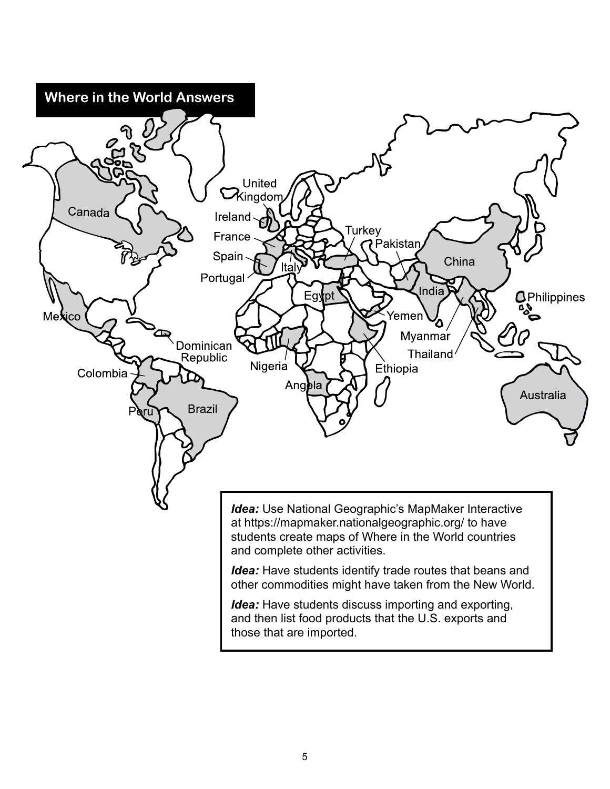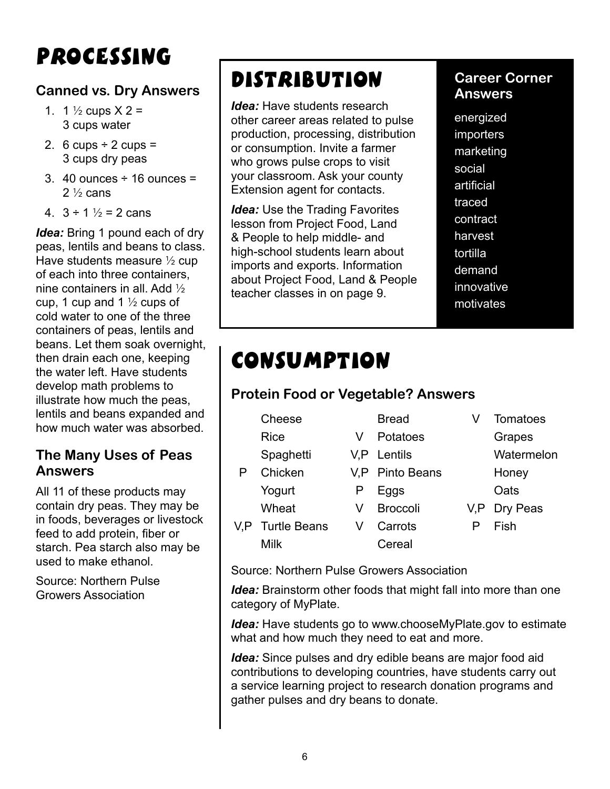# Processing

# **Canned vs. Dry Answers**

- 1. 1  $\frac{1}{2}$  cups  $X$  2 = 3 cups water
- 2. 6 cups  $\div$  2 cups = 3 cups dry peas
- 3. 40 ounces  $\div$  16 ounces =  $2\frac{1}{2}$  cans
- 4.  $3 \div 1$   $\frac{1}{2}$  = 2 cans

*Idea:* Bring 1 pound each of dry peas, lentils and beans to class. Have students measure  $\frac{1}{2}$  cup of each into three containers, nine containers in all. Add  $\frac{1}{2}$ cup, 1 cup and 1  $\frac{1}{2}$  cups of cold water to one of the three containers of peas, lentils and beans. Let them soak overnight, then drain each one, keeping the water left. Have students develop math problems to illustrate how much the peas, lentils and beans expanded and how much water was absorbed.

# **The Many Uses of Peas Answers**

All 11 of these products may contain dry peas. They may be in foods, beverages or livestock feed to add protein, fiber or starch. Pea starch also may be used to make ethanol.

Source: Northern Pulse Growers Association

# Distribution

*Idea:* Have students research other career areas related to pulse production, processing, distribution or consumption. Invite a farmer who grows pulse crops to visit your classroom. Ask your county Extension agent for contacts.

*Idea:* Use the Trading Favorites lesson from Project Food, Land & People to help middle- and high-school students learn about imports and exports. Information about Project Food, Land & People teacher classes in on page 9.

# **Career Corner Answers**

energized importers marketing social artificial traced contract harvest tortilla demand innovative motivates

# Consumption

# **Protein Food or Vegetable? Answers**

| Cheese           |   | <b>Bread</b>    | Tomato        |
|------------------|---|-----------------|---------------|
| <b>Rice</b>      |   | Potatoes        | <b>Grapes</b> |
| Spaghetti        |   | V,P Lentils     | Waterr        |
| Chicken          |   | V,P Pinto Beans | Honey         |
| Yogurt           | ۲ | Eggs            | Oats          |
| Wheat            |   | <b>Broccoli</b> | V,P Dry Pe    |
| V,P Turtle Beans | v | Carrots         | Fish          |

- 
- -
	-
- Milk Cereal
- Bread V Tomatoes
- Lentils **Watermelon** 
	-
	-
- Broccoli V,P Dry Peas
	-

Source: Northern Pulse Growers Association

*Idea:* Brainstorm other foods that might fall into more than one category of MyPlate.

*Idea:* Have students go to [www.chooseMyPlate.gov t](http://www.chooseMyPlate.gov)o estimate what and how much they need to eat and more.

*Idea:* Since pulses and dry edible beans are major food aid contributions to developing countries, have students carry out a service learning project to research donation programs and gather pulses and dry beans to donate.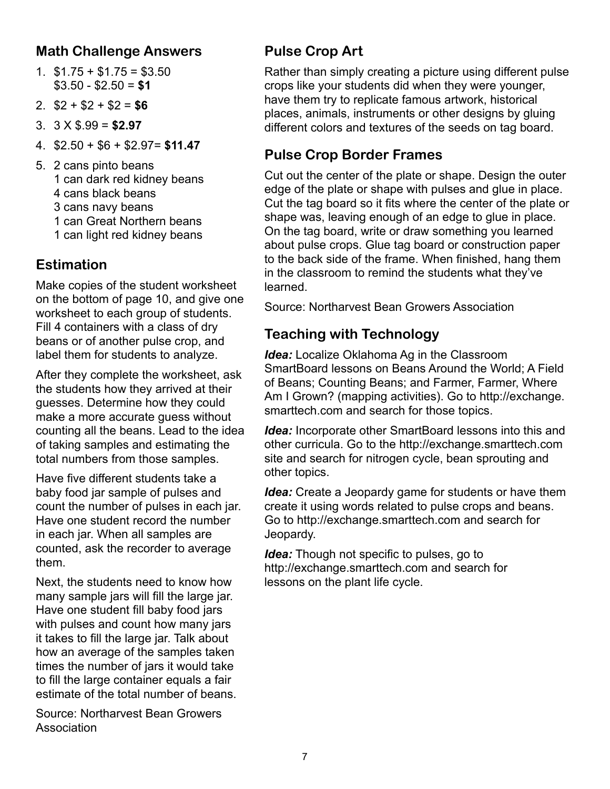# **Math Challenge Answers**

- 1.  $$1.75 + $1.75 = $3.50$ \$3.50 - \$2.50 = **\$1**
- 2. \$2 + \$2 + \$2 = **\$6**
- 3. 3 X \$.99 = **\$2.97**
- 4. \$2.50 + \$6 + \$2.97= **\$11.47**
- 5. 2 cans pinto beans 1 can dark red kidney beans 4 cans black beans 3 cans navy beans 1 can Great Northern beans
	- 1 can light red kidney beans

# **Estimation**

Make copies of the student worksheet on the bottom of page 10, and give one worksheet to each group of students. Fill 4 containers with a class of dry beans or of another pulse crop, and label them for students to analyze.

After they complete the worksheet, ask the students how they arrived at their guesses. Determine how they could make a more accurate guess without counting all the beans. Lead to the idea of taking samples and estimating the total numbers from those samples.

Have five different students take a baby food jar sample of pulses and count the number of pulses in each jar. Have one student record the number in each jar. When all samples are counted, ask the recorder to average them.

Next, the students need to know how many sample jars will fill the large jar. Have one student fill baby food jars with pulses and count how many jars it takes to fill the large jar. Talk about how an average of the samples taken times the number of jars it would take to fill the large container equals a fair estimate of the total number of beans.

Source: Northarvest Bean Growers Association

# **Pulse Crop Art**

Rather than simply creating a picture using different pulse crops like your students did when they were younger, have them try to replicate famous artwork, historical places, animals, instruments or other designs by gluing different colors and textures of the seeds on tag board.

# **Pulse Crop Border Frames**

Cut out the center of the plate or shape. Design the outer edge of the plate or shape with pulses and glue in place. Cut the tag board so it fits where the center of the plate or shape was, leaving enough of an edge to glue in place. On the tag board, write or draw something you learned about pulse crops. Glue tag board or construction paper to the back side of the frame. When finished, hang them in the classroom to remind the students what they've learned.

Source: Northarvest Bean Growers Association

# **Teaching with Technology**

*Idea:* Localize Oklahoma Ag in the Classroom SmartBoard lessons on Beans Around the World; A Field of Beans; Counting Beans; and Farmer, Farmer, Where [Am I Grown? \(mapping activities\). Go to http://exchange.](http://exchange.smarttech.com) smarttech.com and search for those topics.

*Idea:* Incorporate other SmartBoard lessons into this and other curricula. Go to the<http://exchange.smarttech.com> site and search for nitrogen cycle, bean sprouting and other topics.

*Idea:* Create a Jeopardy game for students or have them create it using words related to pulse crops and beans. Go to [http://exchange.smarttech.com a](http://exchange.smarttech.com)nd search for Jeopardy.

*Idea:* Though not specific to pulses, go to [http://exchange.smarttech.com a](http://exchange.smarttech.com)nd search for lessons on the plant life cycle.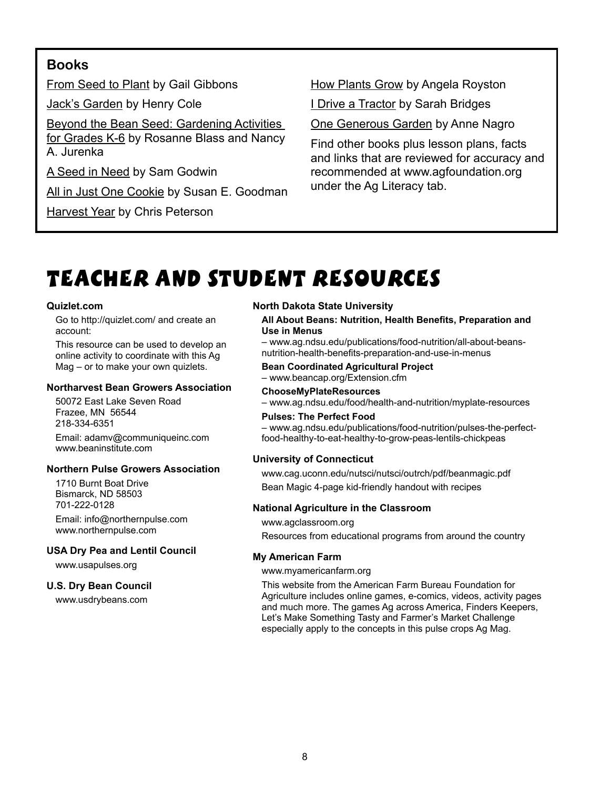# **Books**

From Seed to Plant by Gail Gibbons

Jack's Garden by Henry Cole

Beyond the Bean Seed: Gardening Activities for Grades K-6 by Rosanne Blass and Nancy A. Jurenka

A Seed in Need by Sam Godwin

All in Just One Cookie by Susan E. Goodman

**Harvest Year by Chris Peterson** 

**How Plants Grow by Angela Royston** 

I Drive a Tractor by Sarah Bridges

One Generous Garden by Anne Nagro

Find other books plus lesson plans, facts and links that are reviewed for accuracy and recommended at [www.agfoundation.org](http://www.agfoundation.org) under the Ag Literacy tab.

# Teacher and Student Resources

#### **Quizlet.com**

Go to <http://quizlet.com/> and create an account:

This resource can be used to develop an online activity to coordinate with this Ag Mag – or to make your own quizlets.

#### **Northarvest Bean Growers Association**

50072 East Lake Seven Road Frazee, MN 56544 218-334-6351

Email[: adamv@communiqueinc.com](mailto:adamv@communiqueinc.com) [www.beaninstitute.com](http://www.beaninstitute.com)

#### **Northern Pulse Growers Association**

1710 Burnt Boat Drive Bismarck, ND 58503 701-222-0128 Email: [info@northernpulse.com](mailto:info@northernpulse.com) [www.northernpulse.com](http://www.northernpulse.com)

#### **USA Dry Pea and Lentil Council**

[www.usapulses.org](http://www.usapulses.org)

#### **U.S. Dry Bean Council**

[www.usdrybeans.com](http://www.usdrybeans.com)

#### **North Dakota State University**

#### **All About Beans: Nutrition, Health Benefits, Preparation and Use in Menus**

– [www.ag.ndsu.edu/publications/food-nutrition/all-about-beans](http://www.ag.ndsu.edu/publications/food-nutrition/all-about-beans-nutrition-health-benefits-preparation-and-use-in-menus)nutrition-health-benefits-preparation-and-use-in-menus

#### **Bean Coordinated Agricultural Project** [– www.beancap.org/Extension.cfm](http://www.beancap.org)

**ChooseMyPlateResources**

[– www.ag.ndsu.edu/food/health-and-nutrition/myplate-resources](http://www.ag.ndsu.edu/food/health-and-nutrition/myplate-resources)

#### **Pulses: The Perfect Food**

[– www.ag.ndsu.edu/publications/food-nutrition/pulses-the-perfect](http://www.ag.ndsu.edu/publications/food-nutrition/pulses-the-perfect-food-healthy-to-eat-healthy-to-grow-peas-lentils-chickpeas)food-healthy-to-eat-healthy-to-grow-peas-lentils-chickpeas

#### **University of Connecticut**

[www.cag.uconn.edu/nutsci/nutsci/outrch/pdf/beanmagic.pdf](http://www.cag.uconn.edu/nutsci/nutsci/outrch/pdf/beanmagic.pdf) Bean Magic 4-page kid-friendly handout with recipes

#### **National Agriculture in the Classroom**

[www.agclassroom.org](http://www.agclassroom.org)

Resources from educational programs from around the country

#### **My American Farm**

#### [www.myamericanfarm.org](http://www.myamericanfarm.org)

This website from the American Farm Bureau Foundation for Agriculture includes online games, e-comics, videos, activity pages and much more. The games Ag across America, Finders Keepers, Let's Make Something Tasty and Farmer's Market Challenge especially apply to the concepts in this pulse crops Ag Mag.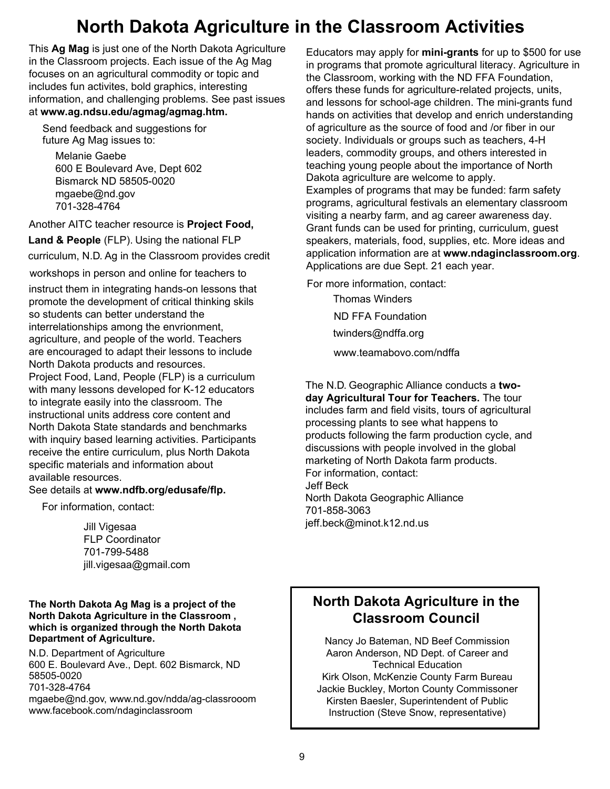# **North Dakota Agriculture in the Classroom Activities**

This **Ag Mag** is just one of the North Dakota Agriculture in the Classroom projects. Each issue of the Ag Mag focuses on an agricultural commodity or topic and the Classroom, working with the ND includes fun activites, bold graphics, interesting information, and challenging problems. See past issues at **www.ag.ndsu.edu/agmag/agmag.htm.** 

Send feedback and suggestions for  $f$ uture Ag Mag issues to:

media<br>Melanie Gaebe welarile Gaebe<br>600 E Boulevard Ave, Dept 602 Bismarck ND 58505-0020  $m$ marehe@nd.gov بانى:<br>701-328-4764 **bodie**<br>**against the function** 

Another AITC teacher resource is **Project Food,**  Becky Koch other ALLC teacher resource is **Pr** 

Land & People [\(FLP\). Using t](mailto:becky.koch@ndsu.edu)he national FLP

curriculum, N.D. Ag in the Classroom provides credit

workshops in person and online for teachers to Another AITC teacher resource is **Project Food,**

instruct them in integrating hands-on lessons that promote the development of critical thinking skils .<br>so students can better understand the interrelationships among the envrionment,  $\;$ men concerning and concern community, and concern of the world. Teachers aghourding, and people of the trend. I secrete are encouraged to duapt their research to include.<br>North Dakota products and resources. worth Bakota products and resources.<br>Project Food, Land, People (FLP) is a curriculum with many lessons developed for K-12 educators to include North Dakota products and resources. man many recessive and support the conditions of the conditions to integrate easily into the classroom. The to integrate each, the the classroom. The magnetic content and instructional units address core content and mod dodonal anno dadrese eere content and<br>North Dakota State standards and benchmarks worth Bakota State standards and Benommarks<br>with inquiry based learning activities. Participants with inquiry based rearning activities. I anticipants<br>receive the entire curriculum, plus North Dakota specific materials and information about epoemo matemalo and information about<br>available resources. learne alle alline.<br>Internet alle

#### avallable researees.<br>See details at **w[ww.ndfb.org/edusafe/flp.](http://www.ndfb.org/edusafe/flp)** occ actual de www.

For information, contact:

Jill Vigesaa FLP Coordinator 701-799-5488 [jill.vigesaa@gmail](mailto:jill.vigesaa@gmail.com).com

#### **The North Dakota Ag Mag is a project of the North Dakota Agriculture in the Classroom , which is organized through the North Dakota Department of Agriculture.**

N.D. Department of Agriculture 600 E. Boulevard Ave., Dept. 602 Bismarck, ND 58505-0020 701-328-4764 mgaeb[e@nd.gov, www](mailto:ndda@nd.gov)[.nd.gov/ndda/ag-classroo](http://www.nd.gov/ndda)om www.f[acebook.com/ndaginclassroom](http://www.facebook.com/ndaginclassroom)

Educators may apply for **mini-grants** for up to \$500 for use in programs that promote agricultural literacy. Agriculture in the Classroom, working with the ND FFA Foundation, offers these funds for agriculture-related projects, units, and lessons for school-age children. The mini-grants fund hands on activities that develop and enrich understanding of agriculture as the source of food and /or fiber in our society. Individuals or groups such as teachers, 4-H leaders, commodity groups, and others interested in teaching young people about the importance of North Dakota agriculture are welcome to apply. Examples of programs that may be funded: farm safety Examples of programs that may be farlaced farm safety.<br>programs, agricultural festivals an elementary classroom programs, agricultural restivats an elementally classical<br>visiting a nearby farm, and ag career awareness day. visiting a riearby rarm, and ag career awareness day.<br>Grant funds can be used for printing, curriculum, guest Grant funds can be used for priming, curriculum, guest<br>speakers, materials, food, supplies, etc. More ideas and application information are at **www.ndaginclassroom.org**. application information are at **information features** included. reproducibility and all oppi. Zir davir year.

For more information, contact:

Thomas Winders ND FFA Foundation [twinders@ndffa.o](mailto:tmaddock@ndffa.org)rg et[c. More ideas and application in](http://www.ndaginclassroom.org)formation are at **WWW.ND** FFA FOUNDATION

www.teamabovo.com/ndffa

T[he N.D. Geographic Alliance cond](http://www.teamabovo.com/ndffa)ucts a twoday Agricultural Tour for Teachers. The tour includes farm and field visits, tours of agricultural processing plants to see what happens to products following the farm production cycle, and discussions with people involved in the global marketing of North Dakota farm products. For information, contact: in the marketing in the global marketing of  $\mathcal{L}$  before  $\mathcal{L}$  and  $\mathcal{L}$ son Book<br>North Dakota Geographic Alliance 701-858-3063 jeff.beck@minot.k12.nd.us

# North Dakota Agriculture **North Dakota Agriculture in the Classroom Council**

Nancy Jo Bateman, ND Beef Commission Nancy Jo Bateman – N.D. Beef Commission Aaron Anderson, ND Dept. of Career and Sheri Coleman – Northern Canola Canola Growers Association<br>Technical Education Kirk Olson, McKenzie County Farm Bureau Jackie Buckley, Morton County Commissoner Kirsten Baesler, Superintendent of Public Instruction (Steve Snow, representative)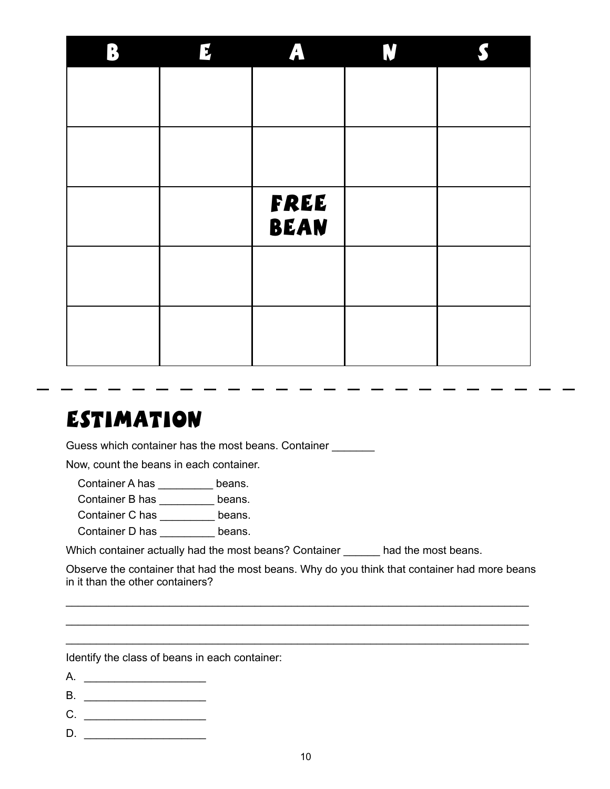| B | $\mathbf{F}$ | A           | N |  |
|---|--------------|-------------|---|--|
|   |              |             |   |  |
|   |              |             |   |  |
|   |              |             |   |  |
|   |              |             |   |  |
|   |              | FREE        |   |  |
|   |              | <b>BEAN</b> |   |  |
|   |              |             |   |  |
|   |              |             |   |  |
|   |              |             |   |  |
|   |              |             |   |  |

. .

. .

. .

د ا

- -

 $\sim$ 

# **ESTIMATION**

Guess which container has the most beans. Container

Now, count the beans in each container.

Container A has \_\_\_\_\_\_\_\_\_ beans.

Container B has \_\_\_\_\_\_\_\_\_ beans.

Container C has \_\_\_\_\_\_\_\_\_ beans.

Container D has \_\_\_\_\_\_\_\_\_ beans.

Which container actually had the most beans? Container \_\_\_\_\_\_ had the most beans.

Observe the container that had the most beans. Why do you think that container had more beans in it than the other containers?

\_\_\_\_\_\_\_\_\_\_\_\_\_\_\_\_\_\_\_\_\_\_\_\_\_\_\_\_\_\_\_\_\_\_\_\_\_\_\_\_\_\_\_\_\_\_\_\_\_\_\_\_\_\_\_\_\_\_\_\_\_\_\_\_\_\_\_\_\_\_\_\_\_\_\_\_ \_\_\_\_\_\_\_\_\_\_\_\_\_\_\_\_\_\_\_\_\_\_\_\_\_\_\_\_\_\_\_\_\_\_\_\_\_\_\_\_\_\_\_\_\_\_\_\_\_\_\_\_\_\_\_\_\_\_\_\_\_\_\_\_\_\_\_\_\_\_\_\_\_\_\_\_ \_\_\_\_\_\_\_\_\_\_\_\_\_\_\_\_\_\_\_\_\_\_\_\_\_\_\_\_\_\_\_\_\_\_\_\_\_\_\_\_\_\_\_\_\_\_\_\_\_\_\_\_\_\_\_\_\_\_\_\_\_\_\_\_\_\_\_\_\_\_\_\_\_\_\_\_

Identify the class of beans in each container:

- B.
- $C.$   $\qquad \qquad$
- D. \_\_\_\_\_\_\_\_\_\_\_\_\_\_\_\_\_\_\_\_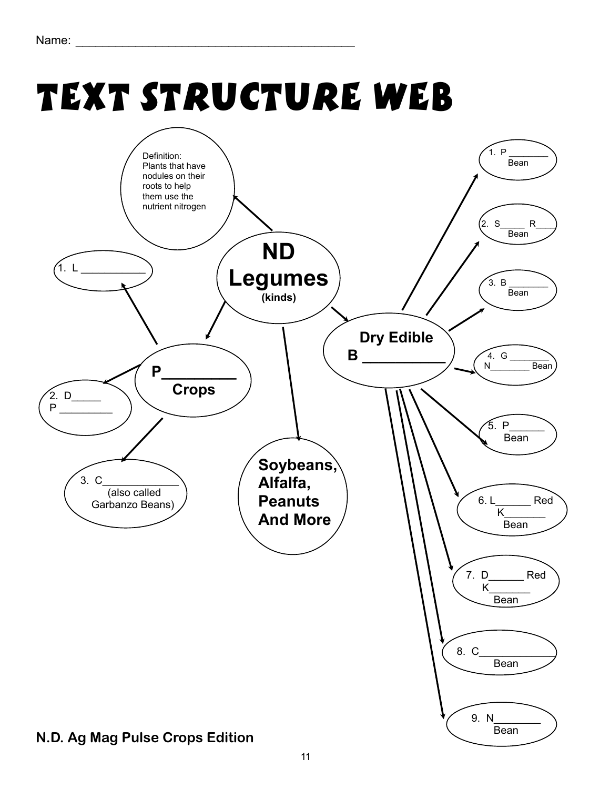# Text Structure Web

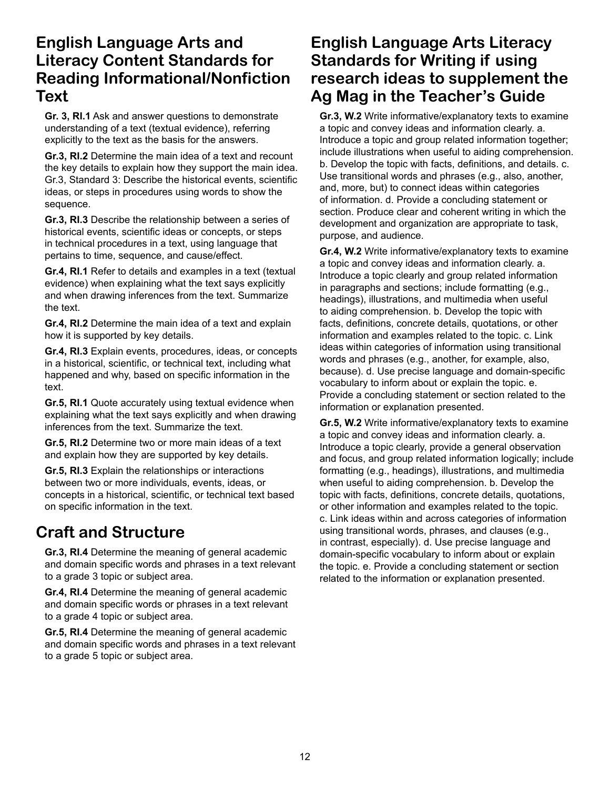# **English Language Arts and Literacy Content Standards for Reading Informational/Nonfiction Text**

**Gr. 3, RI.1** Ask and answer questions to demonstrate understanding of a text (textual evidence), referring explicitly to the text as the basis for the answers.

**Gr.3, RI.2** Determine the main idea of a text and recount the key details to explain how they support the main idea. Gr.3, Standard 3: Describe the historical events, scientific ideas, or steps in procedures using words to show the sequence.

**Gr.3, RI.3** Describe the relationship between a series of historical events, scientific ideas or concepts, or steps in technical procedures in a text, using language that pertains to time, sequence, and cause/effect.

**Gr.4, RI.1** Refer to details and examples in a text (textual evidence) when explaining what the text says explicitly and when drawing inferences from the text. Summarize the text.

**Gr.4, RI.2** Determine the main idea of a text and explain how it is supported by key details.

**Gr.4, RI.3** Explain events, procedures, ideas, or concepts in a historical, scientific, or technical text, including what happened and why, based on specific information in the text.

**Gr.5, RI.1** Quote accurately using textual evidence when explaining what the text says explicitly and when drawing inferences from the text. Summarize the text.

**Gr.5, RI.2** Determine two or more main ideas of a text and explain how they are supported by key details.

**Gr.5, RI.3** Explain the relationships or interactions between two or more individuals, events, ideas, or concepts in a historical, scientific, or technical text based on specific information in the text.

# **Craft and Structure**

**Gr.3, RI.4** Determine the meaning of general academic and domain specific words and phrases in a text relevant to a grade 3 topic or subject area.

**Gr.4, RI.4** Determine the meaning of general academic and domain specific words or phrases in a text relevant to a grade 4 topic or subject area.

**Gr.5, RI.4** Determine the meaning of general academic and domain specific words and phrases in a text relevant to a grade 5 topic or subject area.

# **English Language Arts Literacy Standards for Writing if using research ideas to supplement the Ag Mag in the Teacher's Guide**

**Gr.3, W.2** Write informative/explanatory texts to examine a topic and convey ideas and information clearly. a. Introduce a topic and group related information together; include illustrations when useful to aiding comprehension. b. Develop the topic with facts, definitions, and details. c. Use transitional words and phrases (e.g., also, another, and, more, but) to connect ideas within categories of information. d. Provide a concluding statement or section. Produce clear and coherent writing in which the development and organization are appropriate to task, purpose, and audience.

**Gr.4, W.2** Write informative/explanatory texts to examine a topic and convey ideas and information clearly. a. Introduce a topic clearly and group related information in paragraphs and sections; include formatting (e.g., headings), illustrations, and multimedia when useful to aiding comprehension. b. Develop the topic with facts, definitions, concrete details, quotations, or other information and examples related to the topic. c. Link ideas within categories of information using transitional words and phrases (e.g., another, for example, also, because). d. Use precise language and domain-specific vocabulary to inform about or explain the topic. e. Provide a concluding statement or section related to the information or explanation presented.

**Gr.5, W.2** Write informative/explanatory texts to examine a topic and convey ideas and information clearly. a. Introduce a topic clearly, provide a general observation and focus, and group related information logically; include formatting (e.g., headings), illustrations, and multimedia when useful to aiding comprehension. b. Develop the topic with facts, definitions, concrete details, quotations, or other information and examples related to the topic. c. Link ideas within and across categories of information using transitional words, phrases, and clauses (e.g., in contrast, especially). d. Use precise language and domain-specific vocabulary to inform about or explain the topic. e. Provide a concluding statement or section related to the information or explanation presented.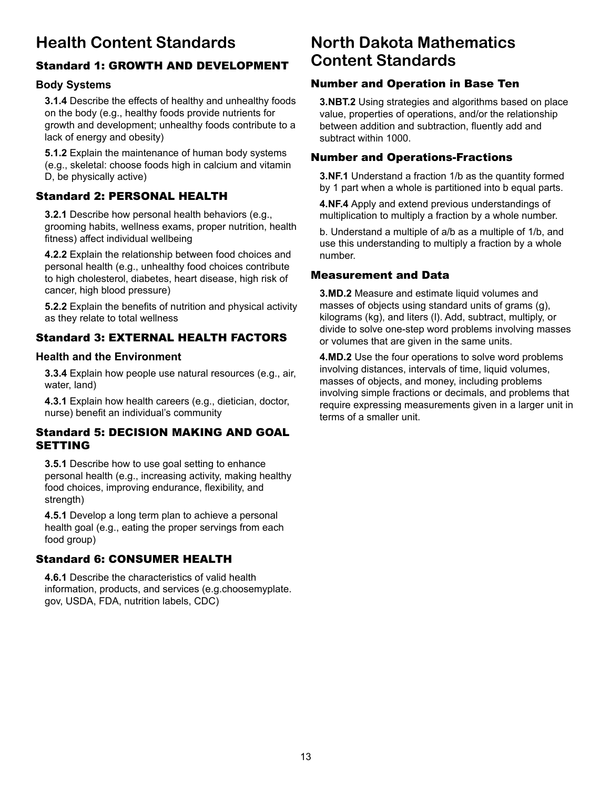# **Health Content Standards**

# Standard 1: GROWTH AND DEVELOPMENT

#### **Body Systems**

**3.1.4** Describe the effects of healthy and unhealthy foods on the body (e.g., healthy foods provide nutrients for growth and development; unhealthy foods contribute to a lack of energy and obesity)

**5.1.2** Explain the maintenance of human body systems (e.g., skeletal: choose foods high in calcium and vitamin D, be physically active)

### Standard 2: PERSONAL HEALTH

**3.2.1** Describe how personal health behaviors (e.g., grooming habits, wellness exams, proper nutrition, health fitness) affect individual wellbeing

**4.2.2** Explain the relationship between food choices and personal health (e.g., unhealthy food choices contribute to high cholesterol, diabetes, heart disease, high risk of cancer, high blood pressure)

**5.2.2** Explain the benefits of nutrition and physical activity as they relate to total wellness

#### Standard 3: EXTERNAL HEALTH FACTORS

#### **Health and the Environment**

**3.3.4** Explain how people use natural resources (e.g., air, water, land)

**4.3.1** Explain how health careers (e.g., dietician, doctor, nurse) benefit an individual's community

#### Standard 5: DECISION MAKING AND GOAL SETTING

**3.5.1** Describe how to use goal setting to enhance personal health (e.g., increasing activity, making healthy food choices, improving endurance, flexibility, and strength)

**4.5.1** Develop a long term plan to achieve a personal health goal (e.g., eating the proper servings from each food group)

#### Standard 6: CONSUMER HEALTH

**4.6.1** Describe the characteristics of valid health information, products, and services (e.g.choosemyplate. gov, USDA, FDA, nutrition labels, CDC)

# **North Dakota Mathematics Content Standards**

## Number and Operation in Base Ten

**3.NBT.2** Using strategies and algorithms based on place value, properties of operations, and/or the relationship between addition and subtraction, fluently add and subtract within 1000.

## Number and Operations-Fractions

**3.NF.1** Understand a fraction 1/b as the quantity formed by 1 part when a whole is partitioned into b equal parts.

**4.NF.4** Apply and extend previous understandings of multiplication to multiply a fraction by a whole number.

b. Understand a multiple of a/b as a multiple of 1/b, and use this understanding to multiply a fraction by a whole number.

## Measurement and Data

**3.MD.2** Measure and estimate liquid volumes and masses of objects using standard units of grams (g), kilograms (kg), and liters (l). Add, subtract, multiply, or divide to solve one-step word problems involving masses or volumes that are given in the same units.

**4.MD.2** Use the four operations to solve word problems involving distances, intervals of time, liquid volumes, masses of objects, and money, including problems involving simple fractions or decimals, and problems that require expressing measurements given in a larger unit in terms of a smaller unit.